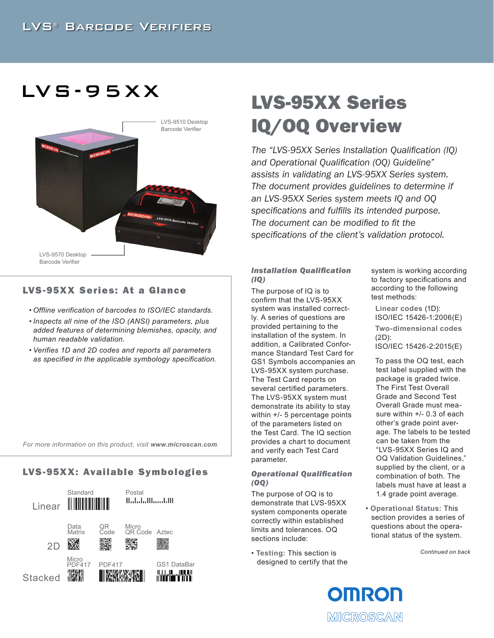# $LVS - 95XX$



## LVS-95XX Series: At a Glance

- *• Offline verification of barcodes to ISO/IEC standards.*
- *• Inspects all nine of the ISO (ANSI) parameters, plus added features of determining blemishes, opacity, and human readable validation.*
- *• Verifies 1D and 2D codes and reports all parameters as specified in the applicable symbology specification.*

*For more information on this product, visit www.microscan.com.*

# LVS-95XX: Available Symbologies



# LVS-95XX Series IQ/OQ Overview

*The "LVS-95XX Series Installation Qualification (IQ) and Operational Qualification (OQ) Guideline" assists in validating an LVS-95XX Series system. The document provides guidelines to determine if an LVS-95XX Series system meets IQ and OQ specifications and fulfills its intended purpose. The document can be modified to fit the specifications of the client's validation protocol.*

#### *Installation Qualification (IQ)*

The purpose of IQ is to confirm that the LVS-95XX system was installed correctly. A series of questions are provided pertaining to the installation of the system. In addition, a Calibrated Conformance Standard Test Card for GS1 Symbols accompanies an LVS-95XX system purchase. The Test Card reports on several certified parameters. The LVS-95XX system must demonstrate its ability to stay within +/- 5 percentage points of the parameters listed on the Test Card. The IQ section provides a chart to document and verify each Test Card parameter.

#### *Operational Qualification (OQ)*

The purpose of OQ is to demonstrate that LVS-95XX system components operate correctly within established limits and tolerances. OQ sections include:

• **Testing:** This section is designed to certify that the system is working according to factory specifications and according to the following test methods:

**Linear codes** (1D): ISO/IEC 15426-1:2006(E) **Two-dimensional codes**  (2D): ISO/IEC 15426-2:2015(E)

To pass the OQ test, each test label supplied with the package is graded twice. The First Test Overall Grade and Second Test Overall Grade must measure within +/- 0.3 of each other's grade point average. The labels to be tested can be taken from the "LVS-95XX Series IQ and OQ Validation Guidelines," supplied by the client, or a combination of both. The labels must have at least a 1.4 grade point average.

• **Operational Status:** This section provides a series of questions about the operational status of the system.

*Continued on back*